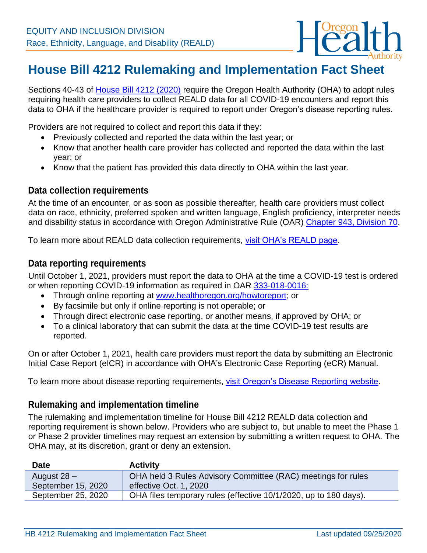

## **House Bill 4212 Rulemaking and Implementation Fact Sheet**

Sections 40-43 of [House Bill 4212 \(2020\)](https://olis.oregonlegislature.gov/liz/2020S1/Downloads/MeasureDocument/HB4212/Enrolled) require the Oregon Health Authority (OHA) to adopt rules requiring health care providers to collect REALD data for all COVID-19 encounters and report this data to OHA if the healthcare provider is required to report under Oregon's disease reporting rules.

Providers are not required to collect and report this data if they:

- Previously collected and reported the data within the last year; or
- Know that another health care provider has collected and reported the data within the last year; or
- Know that the patient has provided this data directly to OHA within the last year.

## **Data collection requirements**

At the time of an encounter, or as soon as possible thereafter, health care providers must collect data on race, ethnicity, preferred spoken and written language, English proficiency, interpreter needs and disability status in accordance with Oregon Administrative Rule (OAR) Chapter [943, Division 70.](https://secure.sos.state.or.us/oard/displayDivisionRules.action?selectedDivision=4206)

To learn more about REALD data collection requirements, [visit OHA's REALD page.](http://www.oregon.gov/OHA/OEI/Pages/REALD.aspx)

## **Data reporting requirements**

Until October 1, 2021, providers must report the data to OHA at the time a COVID-19 test is ordered or when reporting COVID-19 information as required in OAR [333-018-0016:](https://secure.sos.state.or.us/oard/view.action?ruleNumber=333-018-0016)

- Through online reporting at [www.healthoregon.org/howtoreport;](http://www.healthoregon.org/howtoreport) or
- By facsimile but only if online reporting is not operable; or
- Through direct electronic case reporting, or another means, if approved by OHA; or
- To a clinical laboratory that can submit the data at the time COVID-19 test results are reported.

On or after October 1, 2021, health care providers must report the data by submitting an Electronic Initial Case Report (eICR) in accordance with OHA's Electronic Case Reporting (eCR) Manual.

To learn more about disease reporting requirements, [visit Oregon's Disease Reporting website.](https://www.oregon.gov/oha/PH/DiseasesConditions/CommunicableDisease/ReportingCommunicableDisease/Pages/index.aspx)

## **Rulemaking and implementation timeline**

The rulemaking and implementation timeline for House Bill 4212 REALD data collection and reporting requirement is shown below. Providers who are subject to, but unable to meet the Phase 1 or Phase 2 provider timelines may request an extension by submitting a written request to OHA. The OHA may, at its discretion, grant or deny an extension.

| <b>Date</b>        | <b>Activity</b>                                                  |
|--------------------|------------------------------------------------------------------|
| August $28 -$      | OHA held 3 Rules Advisory Committee (RAC) meetings for rules     |
| September 15, 2020 | effective Oct. 1, 2020                                           |
| September 25, 2020 | OHA files temporary rules (effective 10/1/2020, up to 180 days). |